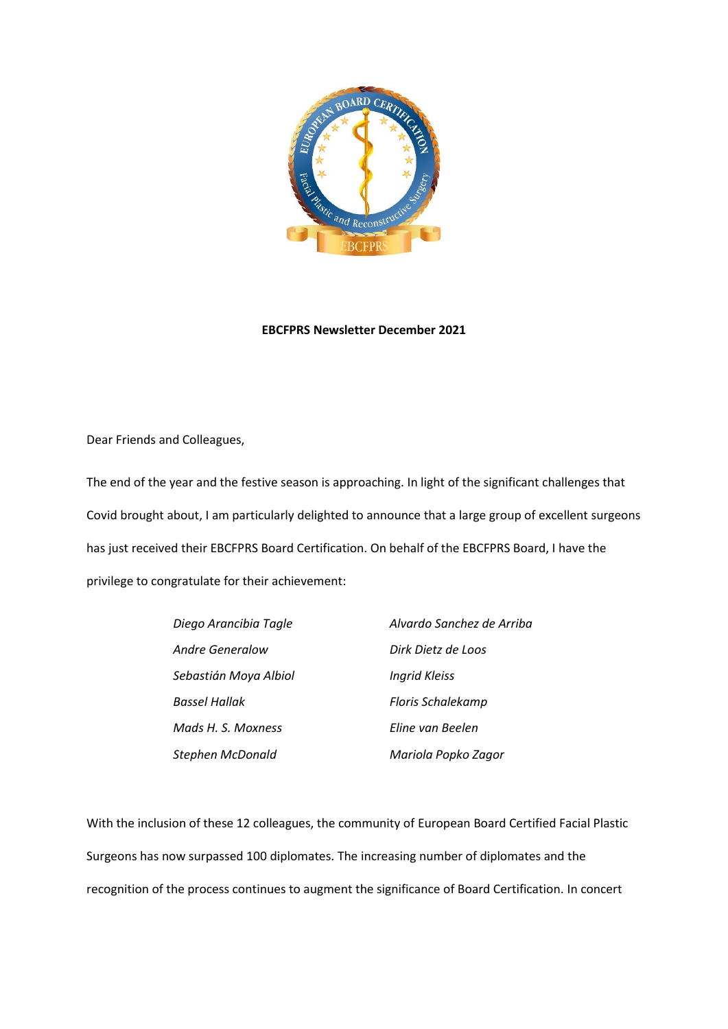

## **EBCFPRS Newsletter December 2021**

Dear Friends and Colleagues,

The end of the year and the festive season is approaching. In light of the significant challenges that Covid brought about, I am particularly delighted to announce that a large group of excellent surgeons has just received their EBCFPRS Board Certification. On behalf of the EBCFPRS Board, I have the privilege to congratulate for their achievement:

| Diego Arancibia Tagle   | Alvardo Sanchez de Arriba |
|-------------------------|---------------------------|
| Andre Generalow         | Dirk Dietz de Loos        |
| Sebastián Moya Albiol   | <b>Ingrid Kleiss</b>      |
| <b>Bassel Hallak</b>    | Floris Schalekamp         |
| Mads H. S. Moxness      | Eline van Beelen          |
| <b>Stephen McDonald</b> | Mariola Popko Zagor       |

With the inclusion of these 12 colleagues, the community of European Board Certified Facial Plastic Surgeons has now surpassed 100 diplomates. The increasing number of diplomates and the recognition of the process continues to augment the significance of Board Certification. In concert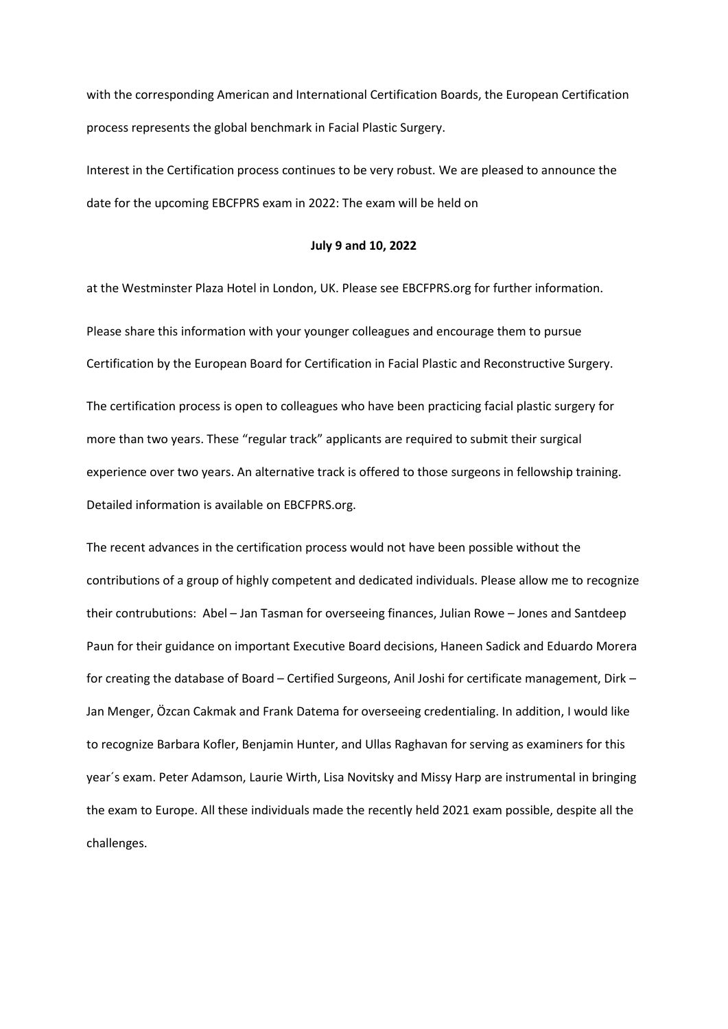with the corresponding American and International Certification Boards, the European Certification process represents the global benchmark in Facial Plastic Surgery.

Interest in the Certification process continues to be very robust. We are pleased to announce the date for the upcoming EBCFPRS exam in 2022: The exam will be held on

## **July 9 and 10, 2022**

at the Westminster Plaza Hotel in London, UK. Please see EBCFPRS.org for further information. Please share this information with your younger colleagues and encourage them to pursue Certification by the European Board for Certification in Facial Plastic and Reconstructive Surgery.

The certification process is open to colleagues who have been practicing facial plastic surgery for more than two years. These "regular track" applicants are required to submit their surgical experience over two years. An alternative track is offered to those surgeons in fellowship training. Detailed information is available on EBCFPRS.org.

The recent advances in the certification process would not have been possible without the contributions of a group of highly competent and dedicated individuals. Please allow me to recognize their contrubutions: Abel – Jan Tasman for overseeing finances, Julian Rowe – Jones and Santdeep Paun for their guidance on important Executive Board decisions, Haneen Sadick and Eduardo Morera for creating the database of Board – Certified Surgeons, Anil Joshi for certificate management, Dirk – Jan Menger, Özcan Cakmak and Frank Datema for overseeing credentialing. In addition, I would like to recognize Barbara Kofler, Benjamin Hunter, and Ullas Raghavan for serving as examiners for this year´s exam. Peter Adamson, Laurie Wirth, Lisa Novitsky and Missy Harp are instrumental in bringing the exam to Europe. All these individuals made the recently held 2021 exam possible, despite all the challenges.